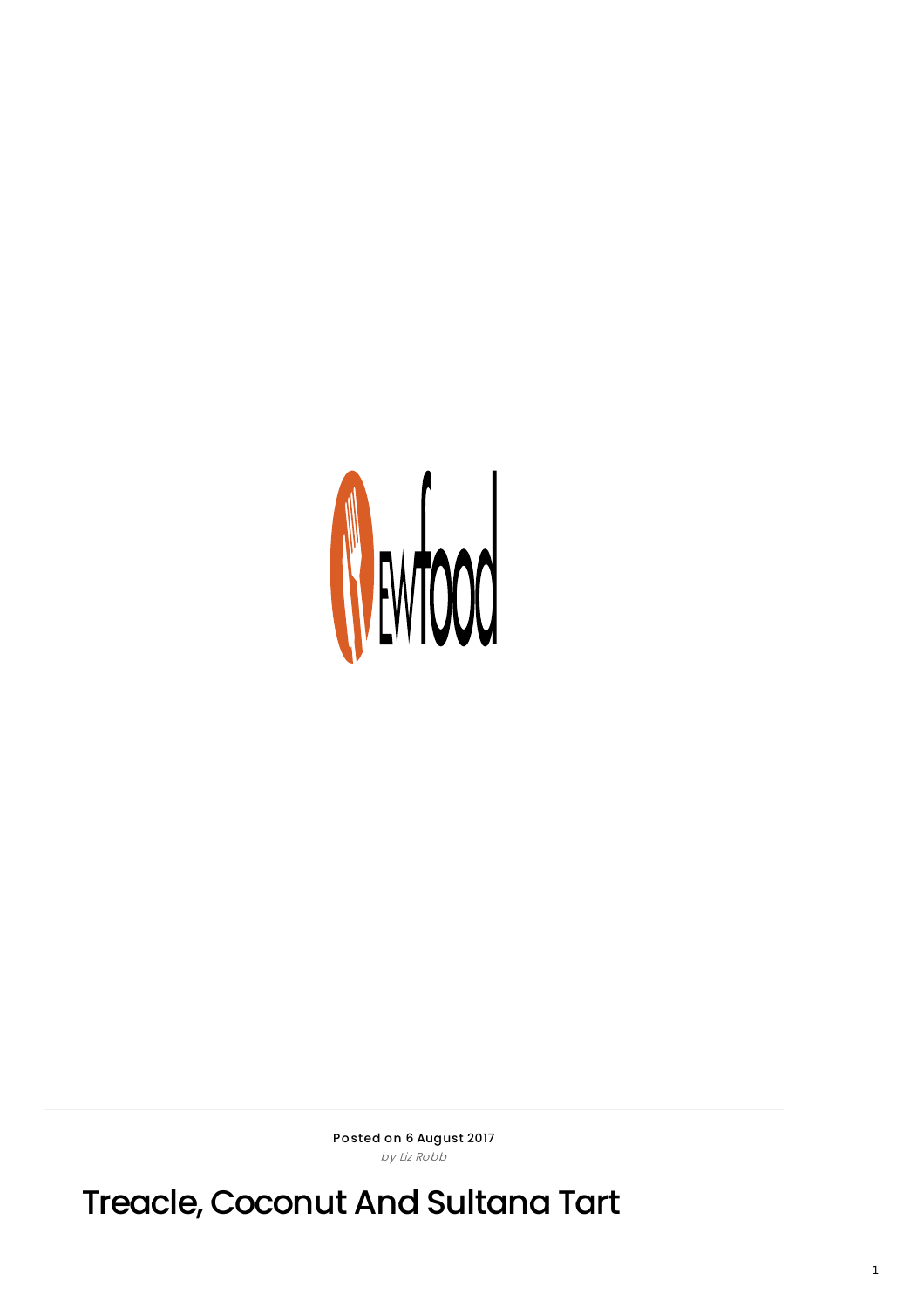

Posted on 6 August 2017 by Liz Robb

Treacle, Coconut And Sultana Tart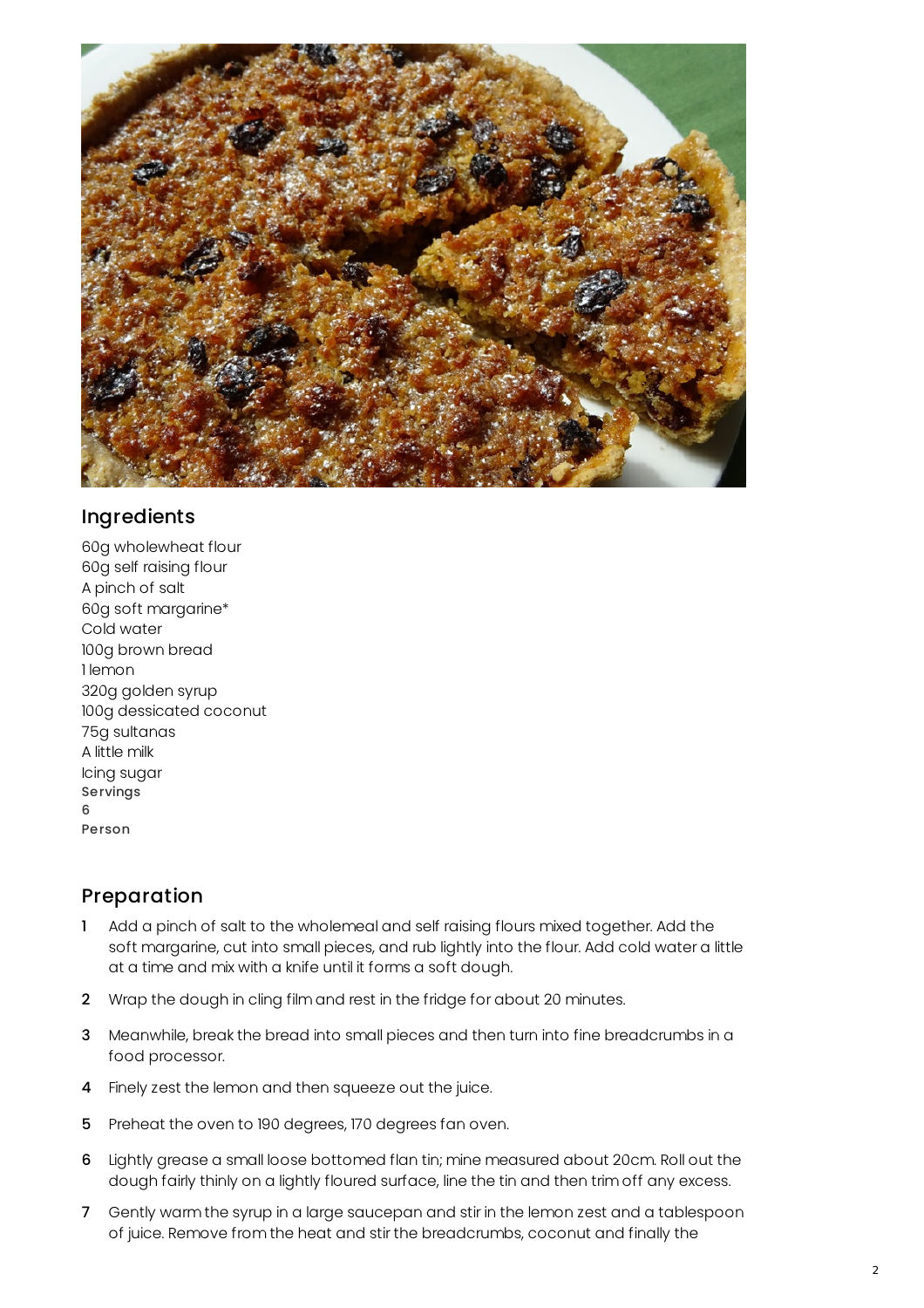

## Ingredients

60g wholewheat flour 60g self raising flour A pinch of salt 60g soft margarine\* Cold water 100g brown bread 1 lemon 320g golden syrup 100g dessicated coconut 75g sultanas A little milk Icing sugar Servings 6 Person

## Preparation

- 1 Add a pinch of salt to the wholemeal and self raising flours mixed together. Add the soft margarine, cut into small pieces, and rub lightly into the flour. Add cold water a little at a time and mix with a knife until it forms a soft dough.
- 2 Wrap the dough in cling film and rest in the fridge for about 20 minutes.
- 3 Meanwhile, break the bread into small pieces and then turn into fine breadcrumbs in a food processor.
- 4 Finely zest the lemon and then squeeze out the juice.
- 5 Preheat the oven to 190 degrees, 170 degrees fan oven.
- 6 Lightly grease a small loose bottomed flan tin; mine measured about 20cm. Roll out the dough fairly thinly on a lightly floured surface, line the tin and then trim off any excess.
- 7 Gently warm the syrup in a large saucepan and stir in the lemon zest and a tablespoon of juice. Remove from the heat and stir the breadcrumbs, coconut and finally the